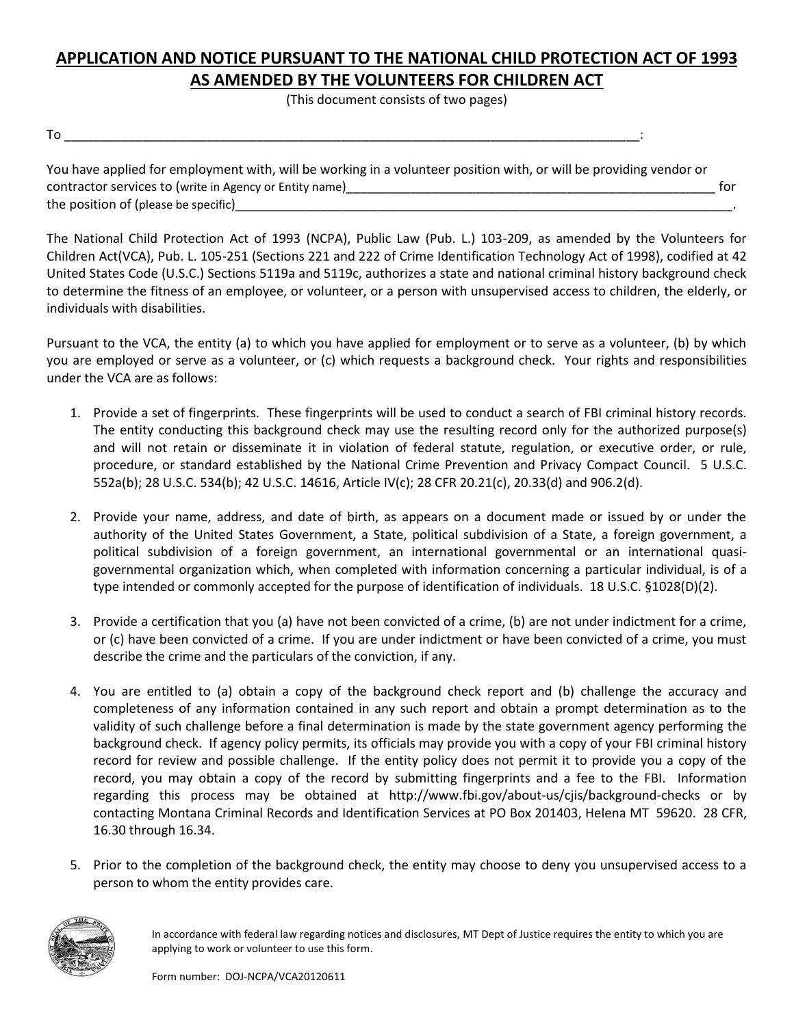## **APPLICATION AND NOTICE PURSUANT TO THE NATIONAL CHILD PROTECTION ACT OF 1993 AS AMENDED BY THE VOLUNTEERS FOR CHILDREN ACT**

(This document consists of two pages)

| - |  |
|---|--|
|   |  |

| You have applied for employment with, will be working in a volunteer position with, or will be providing vendor or |     |
|--------------------------------------------------------------------------------------------------------------------|-----|
| contractor services to (write in Agency or Entity name)                                                            | tor |
| the position of (please be specific)                                                                               |     |

The National Child Protection Act of 1993 (NCPA), Public Law (Pub. L.) 103-209, as amended by the Volunteers for Children Act(VCA), Pub. L. 105-251 (Sections 221 and 222 of Crime Identification Technology Act of 1998), codified at 42 United States Code (U.S.C.) Sections 5119a and 5119c, authorizes a state and national criminal history background check to determine the fitness of an employee, or volunteer, or a person with unsupervised access to children, the elderly, or individuals with disabilities.

Pursuant to the VCA, the entity (a) to which you have applied for employment or to serve as a volunteer, (b) by which you are employed or serve as a volunteer, or (c) which requests a background check. Your rights and responsibilities under the VCA are as follows:

- 1. Provide a set of fingerprints. These fingerprints will be used to conduct a search of FBI criminal history records. The entity conducting this background check may use the resulting record only for the authorized purpose(s) and will not retain or disseminate it in violation of federal statute, regulation, or executive order, or rule, procedure, or standard established by the National Crime Prevention and Privacy Compact Council. 5 U.S.C. 552a(b); 28 U.S.C. 534(b); 42 U.S.C. 14616, Article IV(c); 28 CFR 20.21(c), 20.33(d) and 906.2(d).
- 2. Provide your name, address, and date of birth, as appears on a document made or issued by or under the authority of the United States Government, a State, political subdivision of a State, a foreign government, a political subdivision of a foreign government, an international governmental or an international quasigovernmental organization which, when completed with information concerning a particular individual, is of a type intended or commonly accepted for the purpose of identification of individuals. 18 U.S.C. §1028(D)(2).
- 3. Provide a certification that you (a) have not been convicted of a crime, (b) are not under indictment for a crime, or (c) have been convicted of a crime. If you are under indictment or have been convicted of a crime, you must describe the crime and the particulars of the conviction, if any.
- 4. You are entitled to (a) obtain a copy of the background check report and (b) challenge the accuracy and completeness of any information contained in any such report and obtain a prompt determination as to the validity of such challenge before a final determination is made by the state government agency performing the background check. If agency policy permits, its officials may provide you with a copy of your FBI criminal history record for review and possible challenge. If the entity policy does not permit it to provide you a copy of the record, you may obtain a copy of the record by submitting fingerprints and a fee to the FBI. Information regarding this process may be obtained at http://www.fbi.gov/about-us/cjis/background-checks or by contacting Montana Criminal Records and Identification Services at PO Box 201403, Helena MT 59620. 28 CFR, 16.30 through 16.34.
- 5. Prior to the completion of the background check, the entity may choose to deny you unsupervised access to a person to whom the entity provides care.



In accordance with federal law regarding notices and disclosures, MT Dept of Justice requires the entity to which you are applying to work or volunteer to use this form.